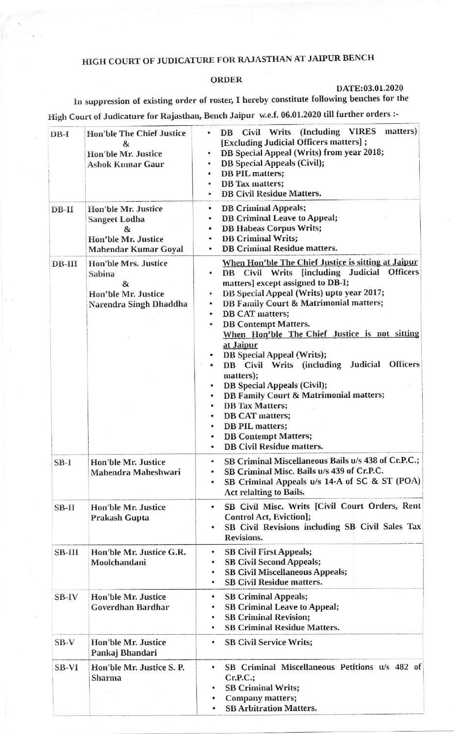## HIGH COURT OF JUDICATURE FOR RAJASTHAN AT JAIPUR BENCH

## **ORDER**

## DATE:03.01.2020

In suppression of existing order of roster, I hereby constitute following benches for the High Court of Judicature for Rajasthan, Bench Jaipur w.e.f. 06.01.2020 till further orders :-

| $DB-I$   | <b>Hon'ble The Chief Justice</b><br>&<br>Hon'ble Mr. Justice<br><b>Ashok Kumar Gaur</b>         | Civil Writs (Including VIRES<br>matters)<br>DB<br>[Excluding Judicial Officers matters] ;<br>DB Special Appeal (Writs) from year 2018;<br><b>DB</b> Special Appeals (Civil);<br>٠<br><b>DB PIL matters;</b><br>$\bullet$<br>DB Tax matters;<br><b>DB Civil Residue Matters.</b>                                                                                                                                                                                                                                                                                                                                                                                                                                                                  |
|----------|-------------------------------------------------------------------------------------------------|--------------------------------------------------------------------------------------------------------------------------------------------------------------------------------------------------------------------------------------------------------------------------------------------------------------------------------------------------------------------------------------------------------------------------------------------------------------------------------------------------------------------------------------------------------------------------------------------------------------------------------------------------------------------------------------------------------------------------------------------------|
| $DB-II$  | Hon'ble Mr. Justice<br><b>Sangeet Lodha</b><br>&<br>Hon'ble Mr. Justice<br>Mahendar Kumar Goyal | <b>DB Criminal Appeals;</b><br>$\bullet$<br><b>DB Criminal Leave to Appeal;</b><br>۰<br><b>DB Habeas Corpus Writs;</b><br>$\bullet$<br><b>DB Criminal Writs;</b><br>٠<br><b>DB Criminal Residue matters.</b><br>٠                                                                                                                                                                                                                                                                                                                                                                                                                                                                                                                                |
| $DB-III$ | <b>Hon'ble Mrs. Justice</b><br>Sabina<br>&<br>Hon'ble Mr. Justice<br>Narendra Singh Dhaddha     | When Hon'ble The Chief Justice is sitting at Jaipur<br>DB Civil Writs [including Judicial Officers<br>matters] except assigned to DB-I;<br>DB Special Appeal (Writs) upto year 2017;<br>٠<br><b>DB Family Court &amp; Matrimonial matters;</b><br>۰<br>DB CAT matters;<br>٠<br><b>DB Contempt Matters.</b><br>۰<br>When Hon'ble The Chief Justice is not sitting<br>at Jaipur<br>DB Special Appeal (Writs);<br><b>Officers</b><br>DB Civil Writs (including<br>Judicial<br>matters);<br><b>DB</b> Special Appeals (Civil);<br>٠<br><b>DB Family Court &amp; Matrimonial matters;</b><br>٠<br><b>DB</b> Tax Matters;<br>۰<br>DB CAT matters;<br>٠<br>DB PIL matters;<br>۰<br><b>DB Contempt Matters;</b><br>٠<br><b>DB Civil Residue matters.</b> |
| $SB-I$   | <b>Hon'ble Mr. Justice</b><br>Mahendra Maheshwari                                               | SB Criminal Miscellaneous Bails u/s 438 of Cr.P.C.;<br>٠<br>SB Criminal Misc. Bails u/s 439 of Cr.P.C.<br>SB Criminal Appeals u/s 14-A of SC & ST (POA)<br>٠<br><b>Act relalting to Bails.</b>                                                                                                                                                                                                                                                                                                                                                                                                                                                                                                                                                   |
| $SB-II$  | Hon'ble Mr. Justice<br>Prakash Gupta                                                            | SB Civil Misc. Writs [Civil Court Orders, Rent<br>$\bullet$<br>Control Act, Eviction];<br>SB Civil Revisions including SB Civil Sales Tax<br>$\bullet$<br>Revisions.                                                                                                                                                                                                                                                                                                                                                                                                                                                                                                                                                                             |
| SB-III   | Hon'ble Mr. Justice G.R.<br>Moolchandani                                                        | <b>SB Civil First Appeals;</b><br>٠<br><b>SB Civil Second Appeals;</b><br>٠<br><b>SB Civil Miscellaneous Appeals;</b><br>٠<br><b>SB Civil Residue matters.</b><br>٠                                                                                                                                                                                                                                                                                                                                                                                                                                                                                                                                                                              |
| $SB-IV$  | Hon'ble Mr. Justice<br>Goverdhan Bardhar                                                        | <b>SB Criminal Appeals;</b><br>٠<br><b>SB Criminal Leave to Appeal;</b><br>۰<br><b>SB Criminal Revision;</b><br>٠<br><b>SB Criminal Residue Matters.</b><br>۰                                                                                                                                                                                                                                                                                                                                                                                                                                                                                                                                                                                    |
| $SB-V$   | <b>Hon'ble Mr. Justice</b><br>Pankaj Bhandari                                                   | <b>SB Civil Service Writs;</b><br>۰                                                                                                                                                                                                                                                                                                                                                                                                                                                                                                                                                                                                                                                                                                              |
| SB-VI    | Hon'ble Mr. Justice S. P.<br>Sharma                                                             | SB Criminal Miscellaneous Petitions u/s 482 of<br>٠<br>$Cr.P.C.$ ;<br><b>SB Criminal Writs;</b><br><b>Company matters;</b><br><b>SB Arbitration Matters.</b>                                                                                                                                                                                                                                                                                                                                                                                                                                                                                                                                                                                     |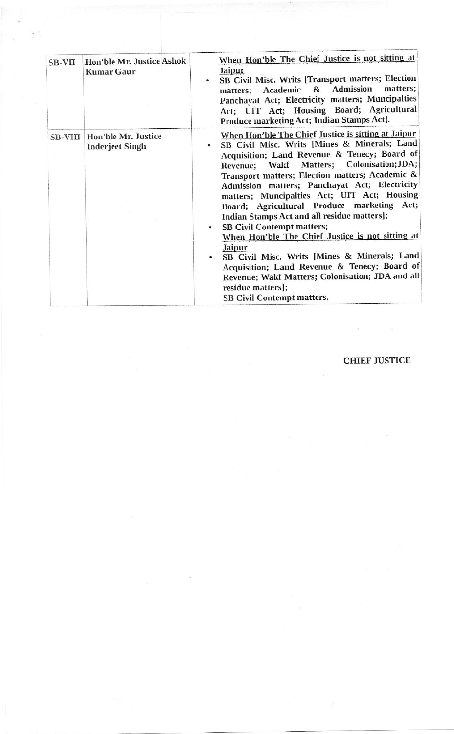| <b>SB-VII</b> | Hon'ble Mr. Justice Ashok<br><b>Kumar Gaur</b>        | When Hon'ble The Chief Justice is not sitting at<br><b>Jaipur</b><br>SB Civil Misc. Writs [Transport matters; Election<br>٠<br>matters; Academic & Admission<br>matters;<br>Panchayat Act; Electricity matters; Muncipalties<br>Act; UIT Act; Housing Board; Agricultural<br>Produce marketing Act; Indian Stamps Act].                                                                                                                                                                                                                                                                                                                                                                                                                                                                    |
|---------------|-------------------------------------------------------|--------------------------------------------------------------------------------------------------------------------------------------------------------------------------------------------------------------------------------------------------------------------------------------------------------------------------------------------------------------------------------------------------------------------------------------------------------------------------------------------------------------------------------------------------------------------------------------------------------------------------------------------------------------------------------------------------------------------------------------------------------------------------------------------|
|               | SB-VIII Hon'ble Mr. Justice<br><b>Inderjeet Singh</b> | When Hon'ble The Chief Justice is sitting at Jaipur<br>SB Civil Misc. Writs [Mines & Minerals; Land<br>۰<br>Acquisition; Land Revenue & Tenecy; Board of<br>Revenue; Wakf Matters; Colonisation; JDA;<br>Transport matters; Election matters; Academic &<br>Admission matters; Panchayat Act; Electricity<br>matters; Muncipalties Act; UIT Act; Housing<br>Board; Agricultural Produce marketing Act;<br>Indian Stamps Act and all residue matters];<br><b>SB Civil Contempt matters;</b><br>$\bullet$<br>When Hon'ble The Chief Justice is not sitting at<br><b>Jaipur</b><br>SB Civil Misc. Writs [Mines & Minerals; Land<br>Acquisition; Land Revenue & Tenecy; Board of<br>Revenue; Wakf Matters; Colonisation; JDA and all<br>residue matters];<br><b>SB Civil Contempt matters.</b> |

## **CHIEF JUSTICE**